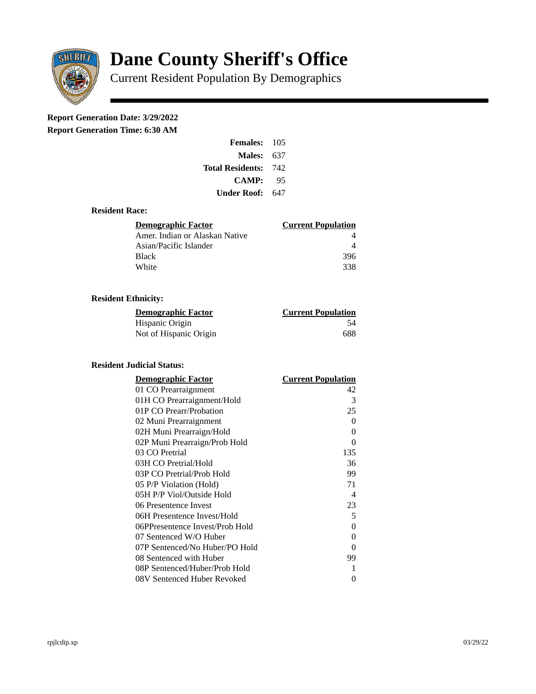

# **Dane County Sheriff's Office**

Current Resident Population By Demographics

# **Report Generation Date: 3/29/2022**

**Report Generation Time: 6:30 AM** 

| <b>Females: 105</b>     |      |
|-------------------------|------|
| Males:                  | 637  |
| <b>Total Residents:</b> | -742 |
| <b>CAMP:</b>            | 95   |
| Under Roof:             | 647  |

## **Resident Race:**

| Demographic Factor             | <b>Current Population</b> |
|--------------------------------|---------------------------|
| Amer. Indian or Alaskan Native |                           |
| Asian/Pacific Islander         |                           |
| Black                          | 396                       |
| White                          | 338                       |

# **Resident Ethnicity:**

| <u> Demographic Factor</u> | <b>Current Population</b> |
|----------------------------|---------------------------|
| Hispanic Origin            | 54                        |
| Not of Hispanic Origin     | 688                       |

#### **Resident Judicial Status:**

| <b>Demographic Factor</b>       | <b>Current Population</b> |
|---------------------------------|---------------------------|
| 01 CO Prearraignment            | 42                        |
| 01H CO Prearraignment/Hold      | 3                         |
| 01P CO Prearr/Probation         | 25                        |
| 02 Muni Prearraignment          | 0                         |
| 02H Muni Prearraign/Hold        | 0                         |
| 02P Muni Prearraign/Prob Hold   | 0                         |
| 03 CO Pretrial                  | 135                       |
| 03H CO Pretrial/Hold            | 36                        |
| 03P CO Pretrial/Prob Hold       | 99                        |
| 05 P/P Violation (Hold)         | 71                        |
| 05H P/P Viol/Outside Hold       | $\overline{\mathcal{A}}$  |
| 06 Presentence Invest           | 23                        |
| 06H Presentence Invest/Hold     | 5                         |
| 06PPresentence Invest/Prob Hold | 0                         |
| 07 Sentenced W/O Huber          | 0                         |
| 07P Sentenced/No Huber/PO Hold  | 0                         |
| 08 Sentenced with Huber         | 99                        |
| 08P Sentenced/Huber/Prob Hold   | 1                         |
| 08V Sentenced Huber Revoked     | 0                         |